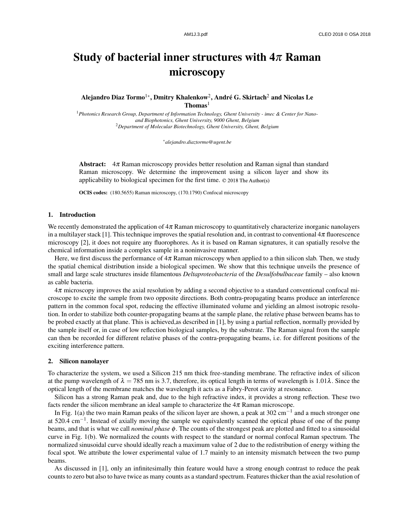# Study of bacterial inner structures with  $4\pi$  Raman microscopy

Alejandro Diaz Tormo $^{1*}$ , Dmitry Khalenkow $^{2}$ , André G. Skirtach $^{2}$  and Nicolas Le Thomas<sup>1</sup>

<sup>1</sup>*Photonics Research Group, Department of Information Technology, Ghent University - imec & Center for Nanoand Biophotonics, Ghent University, 9000 Ghent, Belgium* <sup>2</sup>*Department of Molecular Biotechnology, Ghent University, Ghent, Belgium*

∗*alejandro.diaztormo@ugent.be*

Abstract: 4π Raman microscopy provides better resolution and Raman signal than standard Raman microscopy. We determine the improvement using a silicon layer and show its applicability to biological specimen for the first time. ©2018TheAuthor(s)

OCIS codes: (180.5655) Raman microscopy, (170.1790) Confocal microscopy

## 1. Introduction

We recently demonstrated the application of  $4\pi$  Raman microscopy to quantitatively characterize inorganic nanolayers in a multilayer stack [1]. This technique improves the spatial resolution and, in contrast to conventional  $4\pi$  fluorescence microscopy [2], it does not require any fluorophores. As it is based on Raman signatures, it can spatially resolve the chemical information inside a complex sample in a noninvasive manner.

Here, we first discuss the performance of  $4\pi$  Raman microscopy when applied to a thin silicon slab. Then, we study the spatial chemical distribution inside a biological specimen. We show that this technique unveils the presence of small and large scale structures inside filamentous *Deltaproteobacteria* of the *Desulfobulbaceae* family – also known as cable bacteria.

4π microscopy improves the axial resolution by adding a second objective to a standard conventional confocal microscope to excite the sample from two opposite directions. Both contra-propagating beams produce an interference pattern in the common focal spot, reducing the effective illuminated volume and yielding an almost isotropic resolution. In order to stabilize both counter-propagating beams at the sample plane, the relative phase between beams has to be probed exactly at that plane. This is achieved,as described in [1], by using a partial reflection, normally provided by the sample itself or, in case of low reflection biological samples, by the substrate. The Raman signal from the sample can then be recorded for different relative phases of the contra-propagating beams, i.e. for different positions of the exciting interference pattern.

# 2. Silicon nanolayer

To characterize the system, we used a Silicon 215 nm thick free-standing membrane. The refractive index of silicon at the pump wavelength of  $\lambda = 785$  nm is 3.7, therefore, its optical length in terms of wavelength is 1.01 $\lambda$ . Since the optical length of the membrane matches the wavelength it acts as a Fabry-Perot cavity at resonance.

Silicon has a strong Raman peak and, due to the high refractive index, it provides a strong reflection. These two facts render the silicon membrane an ideal sample to characterize the  $4\pi$  Raman microscope.

In Fig. 1(a) the two main Raman peaks of the silicon layer are shown, a peak at 302 cm<sup>-1</sup> and a much stronger one at 520.4 cm−<sup>1</sup> . Instead of axially moving the sample we equivalently scanned the optical phase of one of the pump beams, and that is what we call *nominal phase* φ. The counts of the strongest peak are plotted and fitted to a sinusoidal curve in Fig. 1(b). We normalized the counts with respect to the standard or normal confocal Raman spectrum. The normalized sinusoidal curve should ideally reach a maximum value of 2 due to the redistribution of energy withing the focal spot. We attribute the lower experimental value of 1.7 mainly to an intensity mismatch between the two pump beams.

As discussed in [1], only an infinitesimally thin feature would have a strong enough contrast to reduce the peak counts to zero but also to have twice as many counts as a standard spectrum. Features thicker than the axial resolution of